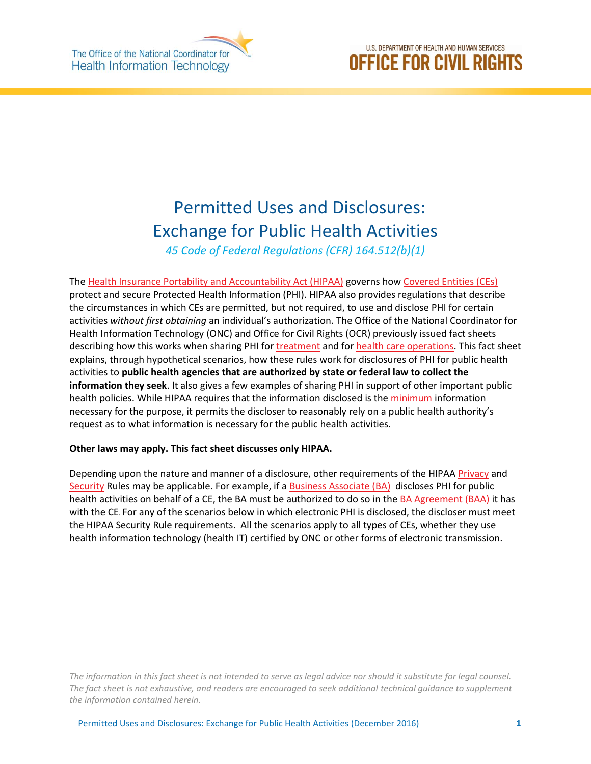

# U.S. DEPARTMENT OF HEALTH AND HUMAN SERVICES **OFFICE FOR CIVIL RIGHTS**

# Permitted Uses and Disclosures: Exchange for Public Health Activities

*45 Code of Federal Regulations (CFR) 164.512(b)(1)* 

The [Health Insurance Portability and Accountability Act \(HIPAA\)](http://www.hhs.gov/hipaa/index.html) governs how [Covered Entities \(CEs\)](http://www.hhs.gov/hipaa/for-professionals/covered-entities/index.html) protect and secure Protected Health Information (PHI). HIPAA also provides regulations that describe the circumstances in which CEs are permitted, but not required, to use and disclose PHI for certain activities *without first obtaining* an individual's authorization. The Office of the National Coordinator for Health Information Technology (ONC) and Office for Civil Rights (OCR) previously issued fact sheets describing how this works when sharing PHI for [treatment](https://www.healthit.gov/sites/default/files/exchange_treatment.pdf) and for [health care operations.](https://www.healthit.gov/sites/default/files/exchange_health_care_ops.pdf) This fact sheet explains, through hypothetical scenarios, how these rules work for disclosures of PHI for public health activities to **public health agencies that are authorized by state or federal law to collect the information they seek**. It also gives a few examples of sharing PHI in support of other important public health policies. While HIPAA requires that the information disclosed is th[e minimum i](http://www.hhs.gov/hipaa/for-professionals/privacy/guidance/minimum-necessary-requirement/index.html)nformation necessary for the purpose, it permits the discloser to reasonably rely on a public health authority's request as to what information is necessary for the public health activities.

#### **Other laws may apply. This fact sheet discusses only HIPAA.**

Depending upon the nature and manner of a disclosure, other requirements of the HIPA[A Privacy](http://www.hhs.gov/hipaa/for-professionals/privacy/laws-regulations/index.html) and [Security](http://www.hhs.gov/hipaa/for-professionals/security/index.html) Rules may be applicable. For example, if a **Business Associate (BA)** discloses PHI for public health activities on behalf of a CE, the BA must be authorized to do so in the [BA Agreement \(BAA\)](http://www.hhs.gov/hipaa/for-professionals/covered-entities/sample-business-associate-agreement-provisions/index.html) it has with the CE. For any of the scenarios below in which electronic PHI is disclosed, the discloser must meet the HIPAA Security Rule requirements. All the scenarios apply to all types of CEs, whether they use health information technology (health IT) certified by ONC or other forms of electronic transmission.

*The information in this fact sheet is not intended to serve as legal advice nor should it substitute for legal counsel. The fact sheet is not exhaustive, and readers are encouraged to seek additional technical guidance to supplement the information contained herein.*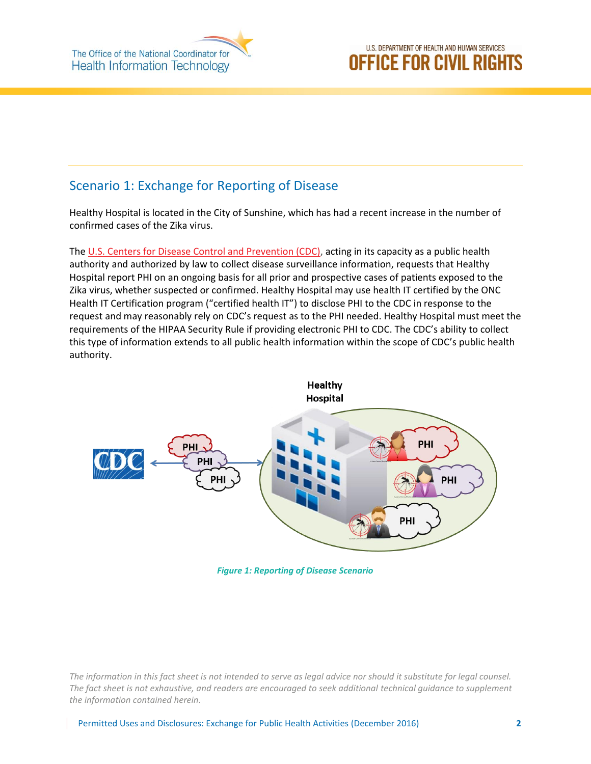The Office of the National Coordinator for **Health Information Technology** 

# Scenario 1: Exchange for Reporting of Disease

Healthy Hospital is located in the City of Sunshine, which has had a recent increase in the number of confirmed cases of the Zika virus.

The [U.S. Centers for Disease Control and Prevention \(CDC\),](http://www.cdc.gov/) acting in its capacity as a public health authority and authorized by law to collect disease surveillance information, requests that Healthy Hospital report PHI on an ongoing basis for all prior and prospective cases of patients exposed to the Zika virus, whether suspected or confirmed. Healthy Hospital may use health IT certified by the ONC Health IT Certification program ("certified health IT") to disclose PHI to the CDC in response to the request and may reasonably rely on CDC's request as to the PHI needed. Healthy Hospital must meet the requirements of the HIPAA Security Rule if providing electronic PHI to CDC. The CDC's ability to collect this type of information extends to all public health information within the scope of CDC's public health authority.



*Figure 1: Reporting of Disease Scenario*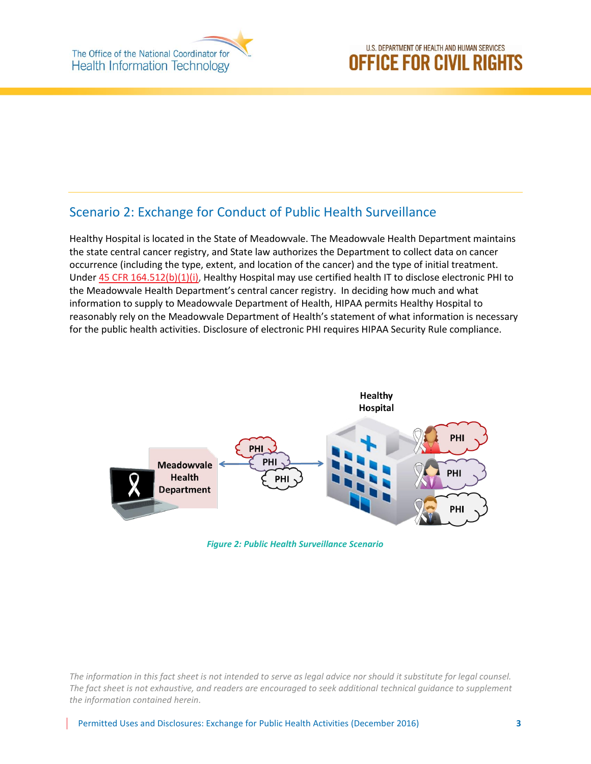#### Scenario 2: Exchange for Conduct of Public Health Surveillance

Healthy Hospital is located in the State of Meadowvale. The Meadowvale Health Department maintains the state central cancer registry, and State law authorizes the Department to collect data on cancer occurrence (including the type, extent, and location of the cancer) and the type of initial treatment. Under [45 CFR 164.512\(b\)\(1\)\(i\),](http://www.ecfr.gov/cgi-bin/text-idx?SID=938e08839465e82e2c30c3bd4a359ce2&node=pt45.1.164&rgn=div5%23se45.1.164_1402#se45.1.164_1512) Healthy Hospital may use certified health IT to disclose electronic PHI to the Meadowvale Health Department's central cancer registry. In deciding how much and what information to supply to Meadowvale Department of Health, HIPAA permits Healthy Hospital to reasonably rely on the Meadowvale Department of Health's statement of what information is necessary for the public health activities. Disclosure of electronic PHI requires HIPAA Security Rule compliance.



*Figure 2: Public Health Surveillance Scenario*

*The information in this fact sheet is not intended to serve as legal advice nor should it substitute for legal counsel. The fact sheet is not exhaustive, and readers are encouraged to seek additional technical guidance to supplement the information contained herein.*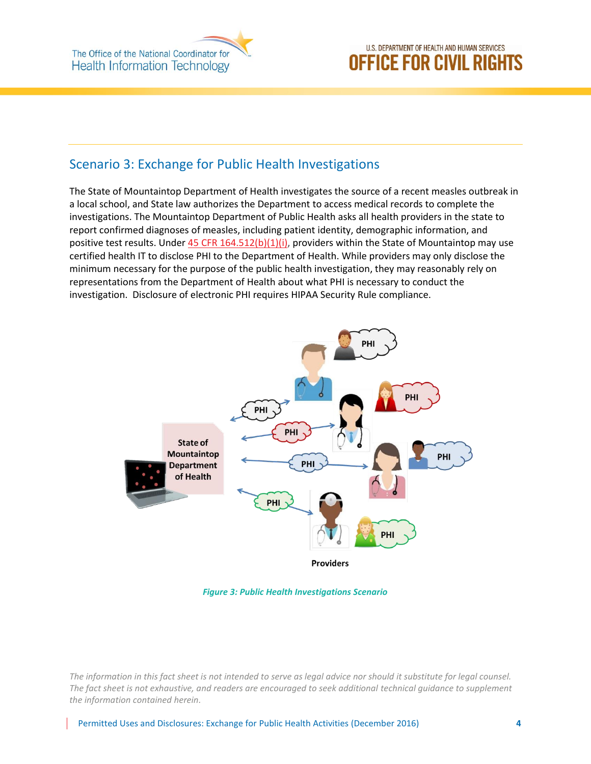The Office of the National Coordinator for **Health Information Technology** 

# U.S. DEPARTMENT OF HEALTH AND HUMAN SERVICES **OFFICE FOR CIVIL RIGHTS**

#### Scenario 3: Exchange for Public Health Investigations

The State of Mountaintop Department of Health investigates the source of a recent measles outbreak in a local school, and State law authorizes the Department to access medical records to complete the investigations. The Mountaintop Department of Public Health asks all health providers in the state to report confirmed diagnoses of measles, including patient identity, demographic information, and positive test results. Under  $45$  CFR  $164.512(b)(1)(i)$ , providers within the State of Mountaintop may use certified health IT to disclose PHI to the Department of Health. While providers may only disclose the minimum necessary for the purpose of the public health investigation, they may reasonably rely on representations from the Department of Health about what PHI is necessary to conduct the investigation. Disclosure of electronic PHI requires HIPAA Security Rule compliance.



*Figure 3: Public Health Investigations Scenario*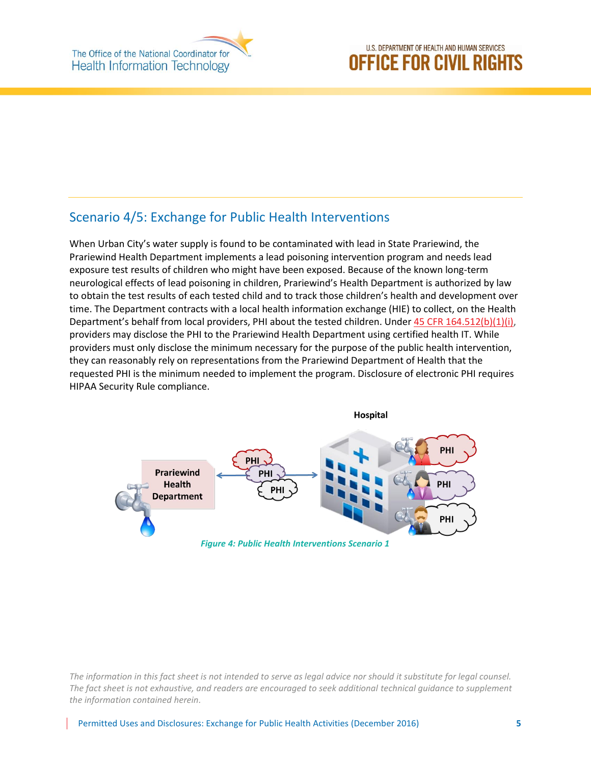### Scenario 4/5: Exchange for Public Health Interventions

When Urban City's water supply is found to be contaminated with lead in State Prariewind, the Prariewind Health Department implements a lead poisoning intervention program and needs lead exposure test results of children who might have been exposed. Because of the known long-term neurological effects of lead poisoning in children, Prariewind's Health Department is authorized by law to obtain the test results of each tested child and to track those children's health and development over time. The Department contracts with a local health information exchange (HIE) to collect, on the Health Department's behalf from local providers, PHI about the tested children. Unde[r 45 CFR 164.512\(b\)\(1\)\(i\),](http://www.ecfr.gov/cgi-bin/text-idx?SID=938e08839465e82e2c30c3bd4a359ce2&node=pt45.1.164&rgn=div5%23se45.1.164_1402#se45.1.164_1512) providers may disclose the PHI to the Prariewind Health Department using certified health IT. While providers must only disclose the minimum necessary for the purpose of the public health intervention, they can reasonably rely on representations from the Prariewind Department of Health that the requested PHI is the minimum needed to implement the program. Disclosure of electronic PHI requires HIPAA Security Rule compliance.



*The information in this fact sheet is not intended to serve as legal advice nor should it substitute for legal counsel. The fact sheet is not exhaustive, and readers are encouraged to seek additional technical guidance to supplement the information contained herein.*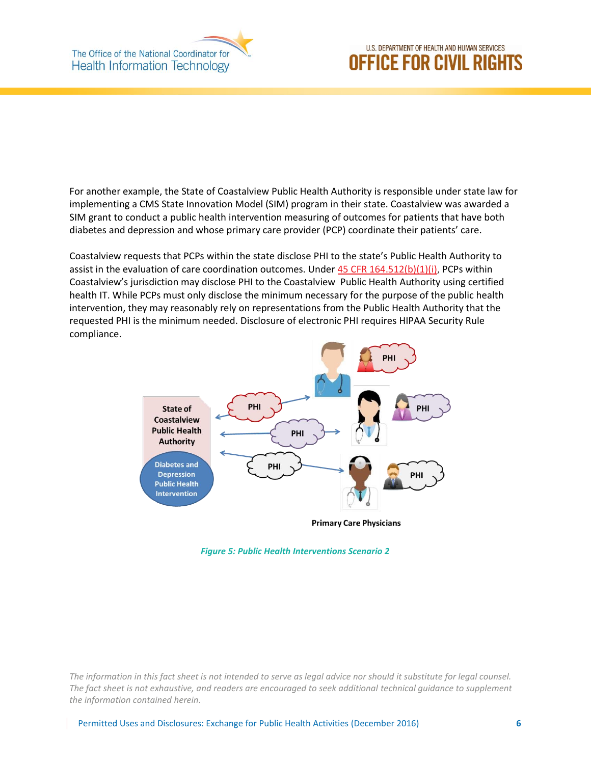

# U.S. DEPARTMENT OF HEALTH AND HUMAN SERVICES **OFFICE FOR CIVIL RIGHTS**

For another example, the State of Coastalview Public Health Authority is responsible under state law for implementing a CMS State Innovation Model (SIM) program in their state. Coastalview was awarded a SIM grant to conduct a public health intervention measuring of outcomes for patients that have both diabetes and depression and whose primary care provider (PCP) coordinate their patients' care.

Coastalview requests that PCPs within the state disclose PHI to the state's Public Health Authority to assist in the evaluation of care coordination outcomes. Under  $45$  CFR 164.512(b)(1)(i), PCPs within Coastalview's jurisdiction may disclose PHI to the Coastalview Public Health Authority using certified health IT. While PCPs must only disclose the minimum necessary for the purpose of the public health intervention, they may reasonably rely on representations from the Public Health Authority that the requested PHI is the minimum needed. Disclosure of electronic PHI requires HIPAA Security Rule compliance.



*Figure 5: Public Health Interventions Scenario 2*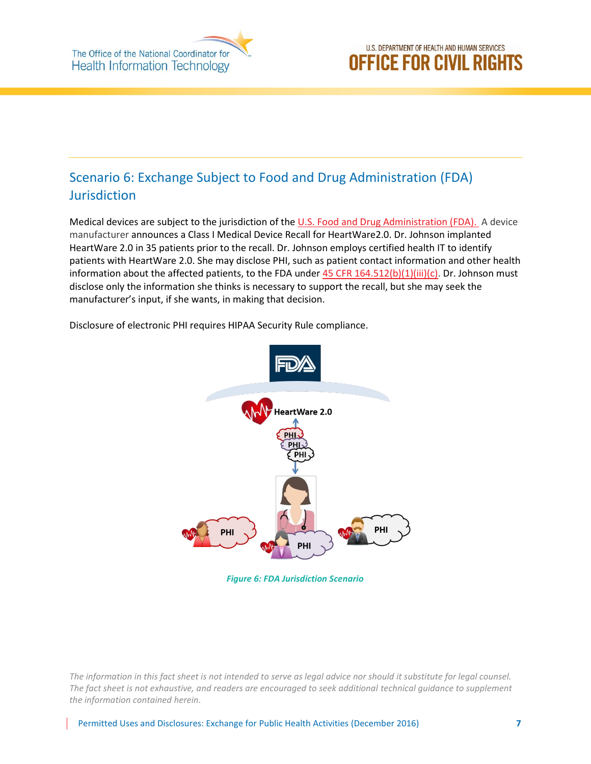

# Scenario 6: Exchange Subject to Food and Drug Administration (FDA) Jurisdiction

Medical devices are subject to the jurisdiction of th[e U.S. Food and Drug Administration \(FDA\).](http://www.fda.gov/) A device manufacturer announces a Class I Medical Device Recall for HeartWare2.0. Dr. Johnson implanted HeartWare 2.0 in 35 patients prior to the recall. Dr. Johnson employs certified health IT to identify patients with HeartWare 2.0. She may disclose PHI, such as patient contact information and other health information about the affected patients, to the FDA under  $45$  CFR  $164.512(b)(1)(iii)(c)$ . Dr. Johnson must disclose only the information she thinks is necessary to support the recall, but she may seek the manufacturer's input, if she wants, in making that decision.

HeartWare 2.0

Disclosure of electronic PHI requires HIPAA Security Rule compliance.

*Figure 6: FDA Jurisdiction Scenario*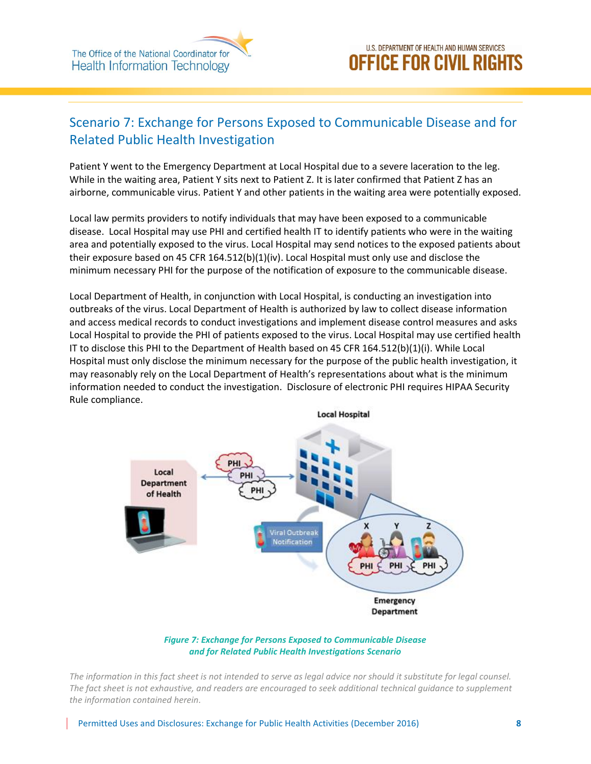

# Scenario 7: Exchange for Persons Exposed to Communicable Disease and for Related Public Health Investigation

Patient Y went to the Emergency Department at Local Hospital due to a severe laceration to the leg. While in the waiting area, Patient Y sits next to Patient Z. It is later confirmed that Patient Z has an airborne, communicable virus. Patient Y and other patients in the waiting area were potentially exposed.

Local law permits providers to notify individuals that may have been exposed to a communicable disease. Local Hospital may use PHI and certified health IT to identify patients who were in the waiting area and potentially exposed to the virus. Local Hospital may send notices to the exposed patients about their exposure based on 45 CFR 164.512(b)(1)(iv). Local Hospital must only use and disclose the minimum necessary PHI for the purpose of the notification of exposure to the communicable disease.

Local Department of Health, in conjunction with Local Hospital, is conducting an investigation into outbreaks of the virus. Local Department of Health is authorized by law to collect disease information and access medical records to conduct investigations and implement disease control measures and asks Local Hospital to provide the PHI of patients exposed to the virus. Local Hospital may use certified health IT to disclose this PHI to the Department of Health based on 45 CFR 164.512(b)(1)(i). While Local Hospital must only disclose the minimum necessary for the purpose of the public health investigation, it may reasonably rely on the Local Department of Health's representations about what is the minimum information needed to conduct the investigation. Disclosure of electronic PHI requires HIPAA Security Rule compliance.



*Figure 7: Exchange for Persons Exposed to Communicable Disease and for Related Public Health Investigations Scenario*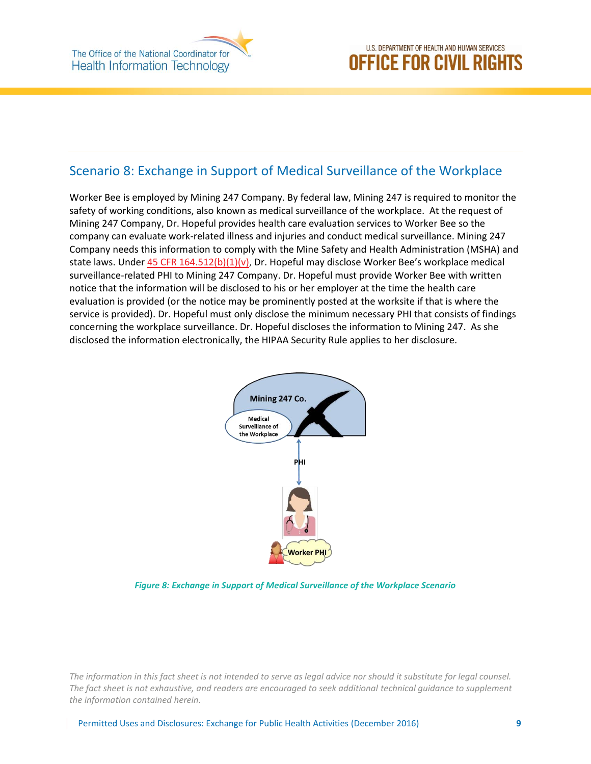# Scenario 8: Exchange in Support of Medical Surveillance of the Workplace

Worker Bee is employed by Mining 247 Company. By federal law, Mining 247 is required to monitor the safety of working conditions, also known as medical surveillance of the workplace. At the request of Mining 247 Company, Dr. Hopeful provides health care evaluation services to Worker Bee so the company can evaluate work-related illness and injuries and conduct medical surveillance. Mining 247 Company needs this information to comply with the Mine Safety and Health Administration (MSHA) and state laws. Unde[r 45 CFR 164.512\(b\)\(1\)\(v\),](http://www.ecfr.gov/cgi-bin/text-idx?SID=938e08839465e82e2c30c3bd4a359ce2&node=pt45.1.164&rgn=div5%23se45.1.164_1402#se45.1.164_1512) Dr. Hopeful may disclose Worker Bee's workplace medical surveillance-related PHI to Mining 247 Company. Dr. Hopeful must provide Worker Bee with written notice that the information will be disclosed to his or her employer at the time the health care evaluation is provided (or the notice may be prominently posted at the worksite if that is where the service is provided). Dr. Hopeful must only disclose the minimum necessary PHI that consists of findings concerning the workplace surveillance. Dr. Hopeful discloses the information to Mining 247. As she disclosed the information electronically, the HIPAA Security Rule applies to her disclosure.



*Figure 8: Exchange in Support of Medical Surveillance of the Workplace Scenario*

*The information in this fact sheet is not intended to serve as legal advice nor should it substitute for legal counsel. The fact sheet is not exhaustive, and readers are encouraged to seek additional technical guidance to supplement the information contained herein.*